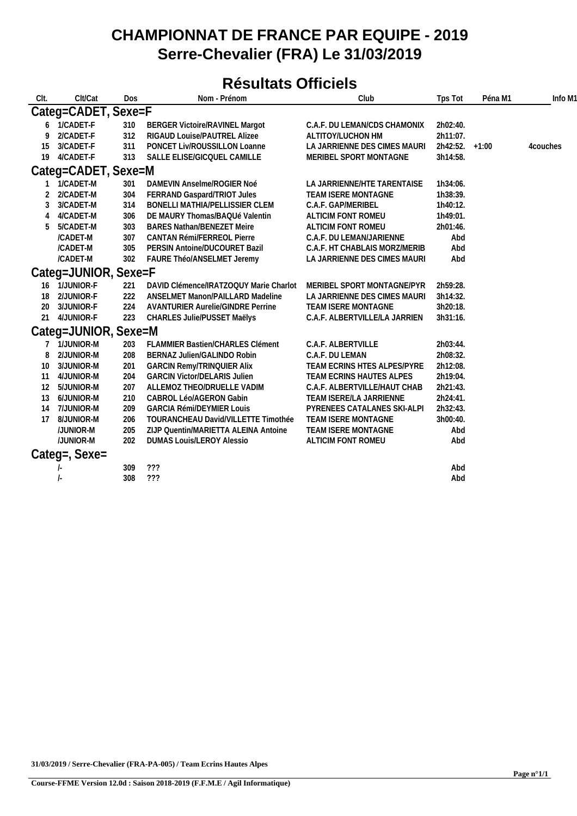## **Résultats Officiels**

| CIt. | Clt/Cat              | Dos | Nom - Prénom                             | Club                          | Tps Tot  | Péna M1 | Info M1  |  |
|------|----------------------|-----|------------------------------------------|-------------------------------|----------|---------|----------|--|
|      | Categ=CADET, Sexe=F  |     |                                          |                               |          |         |          |  |
|      | 1/CADET-F            | 310 | BERGER Victoire/RAVINEL Margot           | C.A.F. DU LEMAN/CDS CHAMONIX  | 2h02:40. |         |          |  |
|      | 2/CADET-F            | 312 | RIGAUD Louise/PAUTREL Alizee             | ALTITOY/LUCHON HM             | 2h11:07. |         |          |  |
| 15   | 3/CADET-F            | 311 | PONCET Liv/ROUSSILLON Loanne             | LA JARRIENNE DES CIMES MAURI  | 2h42:52. | $+1:00$ | 4couches |  |
| 19   | 4/CADET-F            | 313 | SALLE ELISE/GICQUEL CAMILLE              | MERIBEL SPORT MONTAGNE        | 3h14:58. |         |          |  |
|      | Categ=CADET, Sexe=M  |     |                                          |                               |          |         |          |  |
|      | 1/CADET-M            | 301 | DAMEVIN Anselme/ROGIER Noé               | LA JARRIENNE/HTE TARENTAISE   | 1h34:06. |         |          |  |
|      | 2/CADET-M            | 304 | FERRAND Gaspard/TRIOT Jules              | <b>TEAM ISERE MONTAGNE</b>    | 1h38:39. |         |          |  |
|      | 3/CADET-M            | 314 | BONELLI MATHIA/PELLISSIER CLEM           | C.A.F. GAP/MERIBEL            | 1h40:12. |         |          |  |
|      | 4/CADET-M            | 306 | DE MAURY Thomas/BAQUé Valentin           | ALTICIM FONT ROMEU            | 1h49:01. |         |          |  |
| 5.   | 5/CADET-M            | 303 | <b>BARES Nathan/BENEZET Meire</b>        | ALTICIM FONT ROMEU            | 2h01:46. |         |          |  |
|      | /CADET-M             | 307 | <b>CANTAN Rémi/FERREOL Pierre</b>        | C.A.F. DU LEMAN/JARIENNE      | Abd      |         |          |  |
|      | /CADET-M             | 305 | PERSIN Antoine/DUCOURET Bazil            | C.A.F. HT CHABLAIS MORZ/MERIB | Abd      |         |          |  |
|      | /CADET-M             | 302 | FAURE Théo/ANSELMET Jeremy               | LA JARRIENNE DES CIMES MAURI  | Abd      |         |          |  |
|      | Categ=JUNIOR, Sexe=F |     |                                          |                               |          |         |          |  |
|      | 16 1/JUNIOR-F        | 221 | DAVID Clémence/IRATZOQUY Marie Charlot   | MERIBEL SPORT MONTAGNE/PYR    | 2h59:28. |         |          |  |
| 18   | 2/JUNIOR-F           | 222 | ANSELMET Manon/PAILLARD Madeline         | LA JARRIENNE DES CIMES MAURI  | 3h14:32. |         |          |  |
| 20   | 3/JUNIOR-F           | 224 | <b>AVANTURIER Aurelie/GINDRE Perrine</b> | TEAM ISERE MONTAGNE           | 3h20:18. |         |          |  |
| 21   | 4/JUNIOR-F           | 223 | CHARLES Julie/PUSSET Maëlys              | C.A.F. ALBERTVILLE/LA JARRIEN | 3h31:16. |         |          |  |
|      | Categ=JUNIOR, Sexe=M |     |                                          |                               |          |         |          |  |
|      | 1/JUNIOR-M           | 203 | FLAMMIER Bastien/CHARLES Clément         | C.A.F. ALBERTVILLE            | 2h03:44. |         |          |  |
| 8    | 2/JUNIOR-M           | 208 | BERNAZ Julien/GALINDO Robin              | C.A.F. DU LEMAN               | 2h08:32. |         |          |  |
| 10   | 3/JUNIOR-M           | 201 | GARCIN Remy/TRINQUIER Alix               | TEAM ECRINS HTES ALPES/PYRE   | 2h12:08. |         |          |  |
| 11   | 4/JUNIOR-M           | 204 | <b>GARCIN Victor/DELARIS Julien</b>      | TEAM ECRINS HAUTES ALPES      | 2h19:04. |         |          |  |
| 12   | 5/JUNIOR-M           | 207 | ALLEMOZ THEO/DRUELLE VADIM               | C.A.F. ALBERTVILLE/HAUT CHAB  | 2h21:43. |         |          |  |
| 13   | 6/JUNIOR-M           | 210 | CABROL Léo/AGERON Gabin                  | TEAM ISERE/LA JARRIENNE       | 2h24:41. |         |          |  |
| 14   | 7/JUNIOR-M           | 209 | <b>GARCIA Rémi/DEYMIER Louis</b>         | PYRENEES CATALANES SKI-ALPI   | 2h32:43. |         |          |  |
| 17   | 8/JUNIOR-M           | 206 | TOURANCHEAU David/VILLETTE Timothée      | TEAM ISERE MONTAGNE           | 3h00:40. |         |          |  |
|      | /JUNIOR-M            | 205 | ZIJP Quentin/MARIETTA ALEINA Antoine     | TEAM ISERE MONTAGNE           | Abd      |         |          |  |
|      | /JUNIOR-M            | 202 | <b>DUMAS Louis/LEROY Alessio</b>         | ALTICIM FONT ROMEU            | Abd      |         |          |  |
|      | Categ=, Sexe=        |     |                                          |                               |          |         |          |  |
|      |                      | 309 | ???                                      |                               | Abd      |         |          |  |
|      |                      | 308 | ???                                      |                               | Abd      |         |          |  |
|      |                      |     |                                          |                               |          |         |          |  |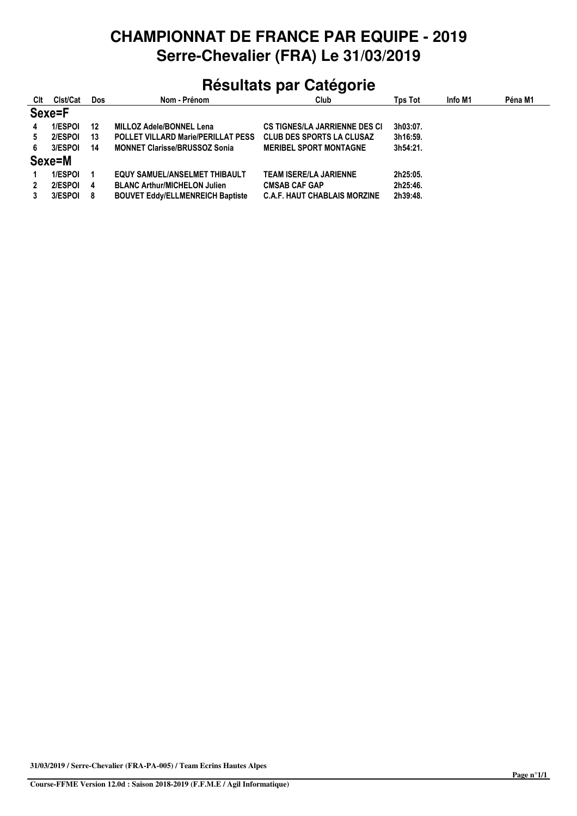# **Résultats par Catégorie**

| Clt    | Clst/Cat       | Dos | Nom - Prénom                              | Club                                 | Tps Tot  | Info M1 | Péna M1 |
|--------|----------------|-----|-------------------------------------------|--------------------------------------|----------|---------|---------|
| Sexe=F |                |     |                                           |                                      |          |         |         |
| 4      | 1/ESPOI        | 12  | MILLOZ Adele/BONNEL Lena                  | <b>CS TIGNES/LA JARRIENNE DES CI</b> | 3h03:07. |         |         |
| 5      | 2/ESPOI        | 13  | <b>POLLET VILLARD Marie/PERILLAT PESS</b> | <b>CLUB DES SPORTS LA CLUSAZ</b>     | 3h16:59. |         |         |
| 6      | <b>3/ESPOL</b> | 14  | <b>MONNET Clarisse/BRUSSOZ Sonia</b>      | <b>MERIBEL SPORT MONTAGNE</b>        | 3h54:21. |         |         |
|        | Sexe=M         |     |                                           |                                      |          |         |         |
|        | 1/ESPOI        |     | <b>EQUY SAMUEL/ANSELMET THIBAULT</b>      | TEAM ISERE/LA JARIENNE               | 2h25:05. |         |         |
|        | 2/ESPOI        | 4   | <b>BLANC Arthur/MICHELON Julien</b>       | <b>CMSAB CAF GAP</b>                 | 2h25:46. |         |         |
|        | <b>3/ESPOL</b> | 8   | <b>BOUVET Eddy/ELLMENREICH Baptiste</b>   | <b>C.A.F. HAUT CHABLAIS MORZINE</b>  | 2h39:48. |         |         |

**31/03/2019 / Serre-Chevalier (FRA-PA-005) / Team Ecrins Hautes Alpes**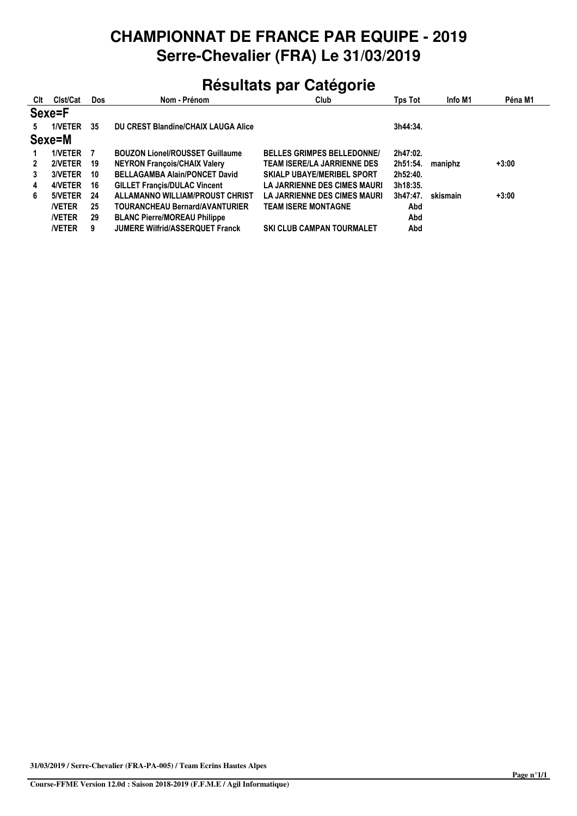# **Résultats par Catégorie**

| Clt    | Clst/Cat     | <b>Dos</b> | Nom - Prénom                               | Club                               | <b>Tps Tot</b> | Info M1  | Péna M1 |
|--------|--------------|------------|--------------------------------------------|------------------------------------|----------------|----------|---------|
| Sexe=F |              |            |                                            |                                    |                |          |         |
| 5.     | 1/VETER      | 35         | <b>DU CREST Blandine/CHAIX LAUGA Alice</b> |                                    | 3h44:34.       |          |         |
|        | Sexe=M       |            |                                            |                                    |                |          |         |
|        | 1/VETER      |            | <b>BOUZON Lionel/ROUSSET Guillaume</b>     | <b>BELLES GRIMPES BELLEDONNE/</b>  | 2h47:02.       |          |         |
| 2      | 2/VETER      | 19         | <b>NEYRON François/CHAIX Valery</b>        | <b>TEAM ISERE/LA JARRIENNE DES</b> | 2h51:54.       | maniphz  | $+3:00$ |
| 3      | 3/VETER      | 10         | <b>BELLAGAMBA Alain/PONCET David</b>       | <b>SKIALP UBAYE/MERIBEL SPORT</b>  | 2h52:40.       |          |         |
| 4      | 4/VETER      | 16         | <b>GILLET Francis/DULAC Vincent</b>        | LA JARRIENNE DES CIMES MAURI       | 3h18:35.       |          |         |
| 6      | 5/VETER      | 24         | ALLAMANNO WILLIAM/PROUST CHRIST            | LA JARRIENNE DES CIMES MAURI       | 3h47:47.       | skismain | $+3:00$ |
|        | <b>NETER</b> | 25         | <b>TOURANCHEAU Bernard/AVANTURIER</b>      | <b>TEAM ISERE MONTAGNE</b>         | Abd            |          |         |
|        | <b>NETER</b> | 29         | <b>BLANC Pierre/MOREAU Philippe</b>        |                                    | Abd            |          |         |
|        | <b>NETER</b> | 9          | <b>JUMERE Wilfrid/ASSERQUET Franck</b>     | <b>SKI CLUB CAMPAN TOURMALET</b>   | Abd            |          |         |

**31/03/2019 / Serre-Chevalier (FRA-PA-005) / Team Ecrins Hautes Alpes**